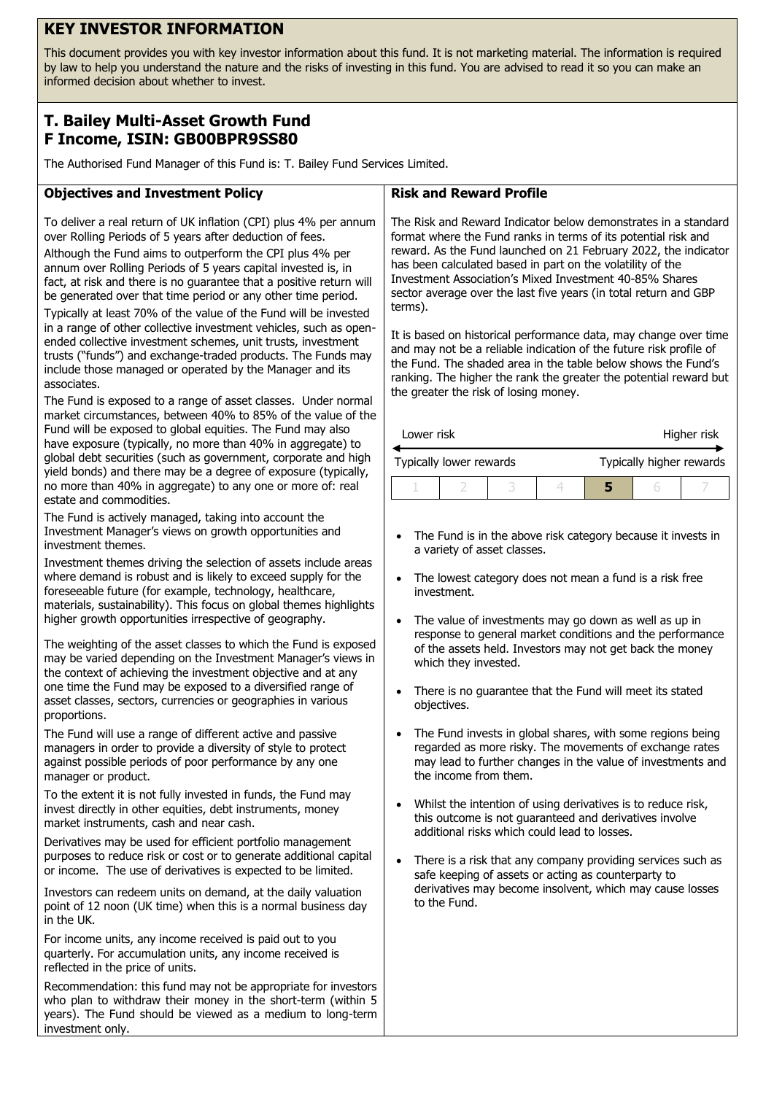# **KEY INVESTOR INFORMATION**

This document provides you with key investor information about this fund. It is not marketing material. The information is required by law to help you understand the nature and the risks of investing in this fund. You are advised to read it so you can make an informed decision about whether to invest.

## **T. Bailey Multi-Asset Growth Fund F Income, ISIN: GB00BPR9SS80**

The Authorised Fund Manager of this Fund is: T. Bailey Fund Services Limited.

### **Objectives and Investment Policy**

To deliver a real return of UK inflation (CPI) plus 4% per annum over Rolling Periods of 5 years after deduction of fees.

Although the Fund aims to outperform the CPI plus 4% per annum over Rolling Periods of 5 years capital invested is, in fact, at risk and there is no guarantee that a positive return will be generated over that time period or any other time period.

Typically at least 70% of the value of the Fund will be invested in a range of other collective investment vehicles, such as openended collective investment schemes, unit trusts, investment trusts ("funds") and exchange-traded products. The Funds may include those managed or operated by the Manager and its associates.

The Fund is exposed to a range of asset classes. Under normal market circumstances, between 40% to 85% of the value of the Fund will be exposed to global equities. The Fund may also have exposure (typically, no more than 40% in aggregate) to global debt securities (such as government, corporate and high yield bonds) and there may be a degree of exposure (typically, no more than 40% in aggregate) to any one or more of: real estate and commodities.

The Fund is actively managed, taking into account the Investment Manager's views on growth opportunities and investment themes.

Investment themes driving the selection of assets include areas where demand is robust and is likely to exceed supply for the foreseeable future (for example, technology, healthcare, materials, sustainability). This focus on global themes highlights higher growth opportunities irrespective of geography.

The weighting of the asset classes to which the Fund is exposed may be varied depending on the Investment Manager's views in the context of achieving the investment objective and at any one time the Fund may be exposed to a diversified range of asset classes, sectors, currencies or geographies in various proportions.

The Fund will use a range of different active and passive managers in order to provide a diversity of style to protect against possible periods of poor performance by any one manager or product.

To the extent it is not fully invested in funds, the Fund may invest directly in other equities, debt instruments, money market instruments, cash and near cash.

Derivatives may be used for efficient portfolio management purposes to reduce risk or cost or to generate additional capital or income. The use of derivatives is expected to be limited.

Investors can redeem units on demand, at the daily valuation point of 12 noon (UK time) when this is a normal business day in the UK.

For income units, any income received is paid out to you quarterly. For accumulation units, any income received is reflected in the price of units.

Recommendation: this fund may not be appropriate for investors who plan to withdraw their money in the short-term (within 5 years). The Fund should be viewed as a medium to long-term investment only.

### **Risk and Reward Profile**

The Risk and Reward Indicator below demonstrates in a standard format where the Fund ranks in terms of its potential risk and reward. As the Fund launched on 21 February 2022, the indicator has been calculated based in part on the volatility of the Investment Association's Mixed Investment 40-85% Shares sector average over the last five years (in total return and GBP terms).

It is based on historical performance data, may change over time and may not be a reliable indication of the future risk profile of the Fund. The shaded area in the table below shows the Fund's ranking. The higher the rank the greater the potential reward but the greater the risk of losing money.

| Lower risk |                         |  | Higher risk |                          |  |  |
|------------|-------------------------|--|-------------|--------------------------|--|--|
|            | Typically lower rewards |  |             | Typically higher rewards |  |  |
|            |                         |  |             |                          |  |  |

- The Fund is in the above risk category because it invests in a variety of asset classes.
- The lowest category does not mean a fund is a risk free investment.
- The value of investments may go down as well as up in response to general market conditions and the performance of the assets held. Investors may not get back the money which they invested.
- There is no guarantee that the Fund will meet its stated objectives.
- The Fund invests in global shares, with some regions being regarded as more risky. The movements of exchange rates may lead to further changes in the value of investments and the income from them.
- Whilst the intention of using derivatives is to reduce risk, this outcome is not guaranteed and derivatives involve additional risks which could lead to losses.
- There is a risk that any company providing services such as safe keeping of assets or acting as counterparty to derivatives may become insolvent, which may cause losses to the Fund.